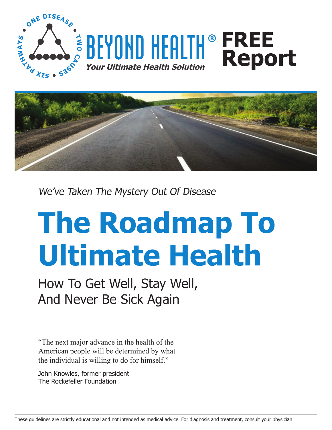





We've Taken The Mystery Out Of Disease

# **The Roadmap To Ultimate Health**

How To Get Well, Stay Well, And Never Be Sick Again

"The next major advance in the health of the American people will be determined by what the individual is willing to do for himself."

John Knowles, former president The Rockefeller Foundation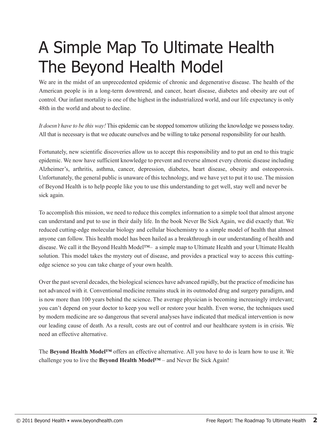# A Simple Map To Ultimate Health The Beyond Health Model

We are in the midst of an unprecedented epidemic of chronic and degenerative disease. The health of the American people is in a long-term downtrend, and cancer, heart disease, diabetes and obesity are out of control. Our infant mortality is one of the highest in the industrialized world, and our life expectancy is only 48th in the world and about to decline.

*It doesn't have to be this way!* This epidemic can be stopped tomorrow utilizing the knowledge we possess today. All that is necessary is that we educate ourselves and be willing to take personal responsibility for our health.

Fortunately, new scientific discoveries allow us to accept this responsibility and to put an end to this tragic epidemic. We now have sufficient knowledge to prevent and reverse almost every chronic disease including Alzheimer's, arthritis, asthma, cancer, depression, diabetes, heart disease, obesity and osteoporosis. Unfortunately, the general public is unaware of this technology, and we have yet to put it to use. The mission of Beyond Health is to help people like you to use this understanding to get well, stay well and never be sick again.

To accomplish this mission, we need to reduce this complex information to a simple tool that almost anyone can understand and put to use in their daily life. In the book Never Be Sick Again, we did exactly that. We reduced cutting-edge molecular biology and cellular biochemistry to a simple model of health that almost anyone can follow. This health model has been hailed as a breakthrough in our understanding of health and disease. We call it the Beyond Health Model™– a simple map to Ultimate Health and your Ultimate Health solution. This model takes the mystery out of disease, and provides a practical way to access this cuttingedge science so you can take charge of your own health.

Over the past several decades, the biological sciences have advanced rapidly, but the practice of medicine has not advanced with it. Conventional medicine remains stuck in its outmoded drug and surgery paradigm, and is now more than 100 years behind the science. The average physician is becoming increasingly irrelevant; you can't depend on your doctor to keep you well or restore your health. Even worse, the techniques used by modern medicine are so dangerous that several analyses have indicated that medical intervention is now our leading cause of death. As a result, costs are out of control and our healthcare system is in crisis. We need an effective alternative.

The **Beyond Health Model™** offers an effective alternative. All you have to do is learn how to use it. We challenge you to live the **Beyond Health Model™** – and Never Be Sick Again!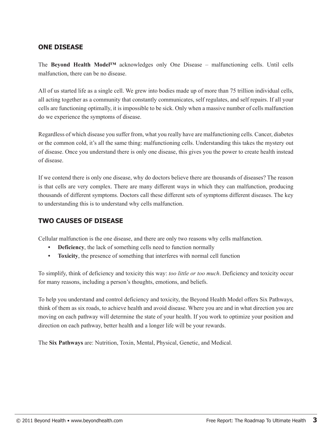#### **ONE DISEASE**

The **Beyond Health Model™** acknowledges only One Disease – malfunctioning cells. Until cells malfunction, there can be no disease.

All of us started life as a single cell. We grew into bodies made up of more than 75 trillion individual cells, all acting together as a community that constantly communicates, self regulates, and self repairs. If all your cells are functioning optimally, it is impossible to be sick. Only when a massive number of cells malfunction do we experience the symptoms of disease.

Regardless of which disease you suffer from, what you really have are malfunctioning cells. Cancer, diabetes or the common cold, it's all the same thing: malfunctioning cells. Understanding this takes the mystery out of disease. Once you understand there is only one disease, this gives you the power to create health instead of disease.

If we contend there is only one disease, why do doctors believe there are thousands of diseases? The reason is that cells are very complex. There are many different ways in which they can malfunction, producing thousands of different symptoms. Doctors call these different sets of symptoms different diseases. The key to understanding this is to understand why cells malfunction.

#### **TWO CAUSES OF DISEASE**

Cellular malfunction is the one disease, and there are only two reasons why cells malfunction.

- **Deficiency**, the lack of something cells need to function normally
- **• Toxicity**, the presence of something that interferes with normal cell function

To simplify, think of deficiency and toxicity this way: *too little or too much*. Deficiency and toxicity occur for many reasons, including a person's thoughts, emotions, and beliefs.

To help you understand and control deficiency and toxicity, the Beyond Health Model offers Six Pathways, think of them as six roads, to achieve health and avoid disease. Where you are and in what direction you are moving on each pathway will determine the state of your health. If you work to optimize your position and direction on each pathway, better health and a longer life will be your rewards.

The **Six Pathways** are: Nutrition, Toxin, Mental, Physical, Genetic, and Medical.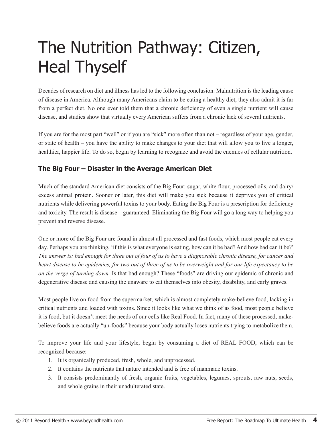# The Nutrition Pathway: Citizen, Heal Thyself

Decades of research on diet and illness has led to the following conclusion: Malnutrition is the leading cause of disease in America. Although many Americans claim to be eating a healthy diet, they also admit it is far from a perfect diet. No one ever told them that a chronic deficiency of even a single nutrient will cause disease, and studies show that virtually every American suffers from a chronic lack of several nutrients.

If you are for the most part "well" or if you are "sick" more often than not – regardless of your age, gender, or state of health – you have the ability to make changes to your diet that will allow you to live a longer, healthier, happier life. To do so, begin by learning to recognize and avoid the enemies of cellular nutrition.

#### **The Big Four – Disaster in the Average American Diet**

Much of the standard American diet consists of the Big Four: sugar, white flour, processed oils, and dairy/ excess animal protein. Sooner or later, this diet will make you sick because it deprives you of critical nutrients while delivering powerful toxins to your body. Eating the Big Four is a prescription for deficiency and toxicity. The result is disease – guaranteed. Eliminating the Big Four will go a long way to helping you prevent and reverse disease.

One or more of the Big Four are found in almost all processed and fast foods, which most people eat every day. Perhaps you are thinking, 'if this is what everyone is eating, how can it be bad? And how bad can it be?' *The answer is: bad enough for three out of four of us to have a diagnosable chronic disease, for cancer and heart disease to be epidemics, for two out of three of us to be overweight and for our life expectancy to be on the verge of turning down.* Is that bad enough? These "foods" are driving our epidemic of chronic and degenerative disease and causing the unaware to eat themselves into obesity, disability, and early graves.

Most people live on food from the supermarket, which is almost completely make-believe food, lacking in critical nutrients and loaded with toxins. Since it looks like what we think of as food, most people believe it is food, but it doesn't meet the needs of our cells like Real Food. In fact, many of these processed, makebelieve foods are actually "un-foods" because your body actually loses nutrients trying to metabolize them.

To improve your life and your lifestyle, begin by consuming a diet of REAL FOOD, which can be recognized because:

- 1. It is organically produced, fresh, whole, and unprocessed.
- 2. It contains the nutrients that nature intended and is free of manmade toxins.
- 3. It consists predominantly of fresh, organic fruits, vegetables, legumes, sprouts, raw nuts, seeds, and whole grains in their unadulterated state.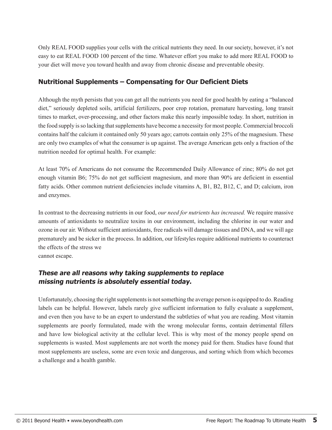Only REAL FOOD supplies your cells with the critical nutrients they need. In our society, however, it's not easy to eat REAL FOOD 100 percent of the time. Whatever effort you make to add more REAL FOOD to your diet will move you toward health and away from chronic disease and preventable obesity.

### **Nutritional Supplements – Compensating for Our Deficient Diets**

Although the myth persists that you can get all the nutrients you need for good health by eating a "balanced diet," seriously depleted soils, artificial fertilizers, poor crop rotation, premature harvesting, long transit times to market, over-processing, and other factors make this nearly impossible today. In short, nutrition in the food supply is so lacking that supplements have become a necessity for most people. Commercial broccoli contains half the calcium it contained only 50 years ago; carrots contain only 25% of the magnesium. These are only two examples of what the consumer is up against. The average American gets only a fraction of the nutrition needed for optimal health. For example:

At least 70% of Americans do not consume the Recommended Daily Allowance of zinc; 80% do not get enough vitamin B6; 75% do not get sufficient magnesium, and more than 90% are deficient in essential fatty acids. Other common nutrient deficiencies include vitamins A, B1, B2, B12, C, and D; calcium, iron and enzymes.

In contrast to the decreasing nutrients in our food, *our need for nutrients has increased.* We require massive amounts of antioxidants to neutralize toxins in our environment, including the chlorine in our water and ozone in our air. Without sufficient antioxidants, free radicals will damage tissues and DNA, and we will age prematurely and be sicker in the process. In addition, our lifestyles require additional nutrients to counteract the effects of the stress we

cannot escape.

### **These are all reasons why taking supplements to replace missing nutrients is absolutely essential today.**

Unfortunately, choosing the right supplements is not something the average person is equipped to do. Reading labels can be helpful. However, labels rarely give sufficient information to fully evaluate a supplement, and even then you have to be an expert to understand the subtleties of what you are reading. Most vitamin supplements are poorly formulated, made with the wrong molecular forms, contain detrimental fillers and have low biological activity at the cellular level. This is why most of the money people spend on supplements is wasted. Most supplements are not worth the money paid for them. Studies have found that most supplements are useless, some are even toxic and dangerous, and sorting which from which becomes a challenge and a health gamble.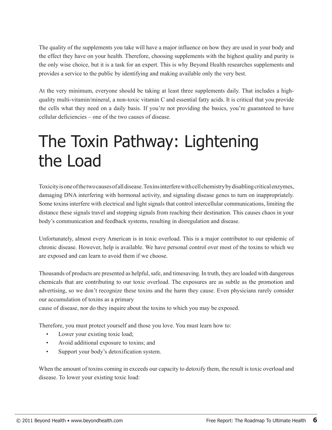The quality of the supplements you take will have a major influence on how they are used in your body and the effect they have on your health. Therefore, choosing supplements with the highest quality and purity is the only wise choice, but it is a task for an expert. This is why Beyond Health researches supplements and provides a service to the public by identifying and making available only the very best.

At the very minimum, everyone should be taking at least three supplements daily. That includes a highquality multi-vitamin/mineral, a non-toxic vitamin C and essential fatty acids. It is critical that you provide the cells what they need on a daily basis. If you're not providing the basics, you're guaranteed to have cellular deficiencies – one of the two causes of disease.

## The Toxin Pathway: Lightening the Load

Toxicity is one of the two causes of all disease. Toxins interfere with cell chemistry by disabling critical enzymes, damaging DNA interfering with hormonal activity, and signaling disease genes to turn on inappropriately. Some toxins interfere with electrical and light signals that control intercellular communications, limiting the distance these signals travel and stopping signals from reaching their destination. This causes chaos in your body's communication and feedback systems, resulting in disregulation and disease.

Unfortunately, almost every American is in toxic overload. This is a major contributor to our epidemic of chronic disease. However, help is available. We have personal control over most of the toxins to which we are exposed and can learn to avoid them if we choose.

Thousands of products are presented as helpful, safe, and timesaving. In truth, they are loaded with dangerous chemicals that are contributing to our toxic overload. The exposures are as subtle as the promotion and advertising, so we don't recognize these toxins and the harm they cause. Even physicians rarely consider our accumulation of toxins as a primary

cause of disease, nor do they inquire about the toxins to which you may be exposed.

Therefore, you must protect yourself and those you love. You must learn how to:

- Lower your existing toxic load;
- Avoid additional exposure to toxins; and
- Support your body's detoxification system.

When the amount of toxins coming in exceeds our capacity to detoxify them, the result is toxic overload and disease. To lower your existing toxic load: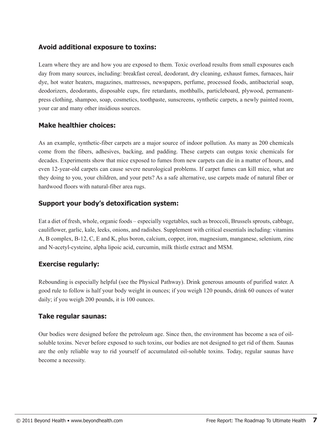#### **Avoid additional exposure to toxins:**

Learn where they are and how you are exposed to them. Toxic overload results from small exposures each day from many sources, including: breakfast cereal, deodorant, dry cleaning, exhaust fumes, furnaces, hair dye, hot water heaters, magazines, mattresses, newspapers, perfume, processed foods, antibacterial soap, deodorizers, deodorants, disposable cups, fire retardants, mothballs, particleboard, plywood, permanentpress clothing, shampoo, soap, cosmetics, toothpaste, sunscreens, synthetic carpets, a newly painted room, your car and many other insidious sources.

#### **Make healthier choices:**

As an example, synthetic-fiber carpets are a major source of indoor pollution. As many as 200 chemicals come from the fibers, adhesives, backing, and padding. These carpets can outgas toxic chemicals for decades. Experiments show that mice exposed to fumes from new carpets can die in a matter of hours, and even 12-year-old carpets can cause severe neurological problems. If carpet fumes can kill mice, what are they doing to you, your children, and your pets? As a safe alternative, use carpets made of natural fiber or hardwood floors with natural-fiber area rugs.

#### **Support your body's detoxification system:**

Eat a diet of fresh, whole, organic foods – especially vegetables, such as broccoli, Brussels sprouts, cabbage, cauliflower, garlic, kale, leeks, onions, and radishes. Supplement with critical essentials including: vitamins A, B complex, B-12, C, E and K, plus boron, calcium, copper, iron, magnesium, manganese, selenium, zinc and N-acetyl-cysteine, alpha lipoic acid, curcumin, milk thistle extract and MSM.

#### **Exercise regularly:**

Rebounding is especially helpful (see the Physical Pathway). Drink generous amounts of purified water. A good rule to follow is half your body weight in ounces; if you weigh 120 pounds, drink 60 ounces of water daily; if you weigh 200 pounds, it is 100 ounces.

#### **Take regular saunas:**

Our bodies were designed before the petroleum age. Since then, the environment has become a sea of oilsoluble toxins. Never before exposed to such toxins, our bodies are not designed to get rid of them. Saunas are the only reliable way to rid yourself of accumulated oil-soluble toxins. Today, regular saunas have become a necessity.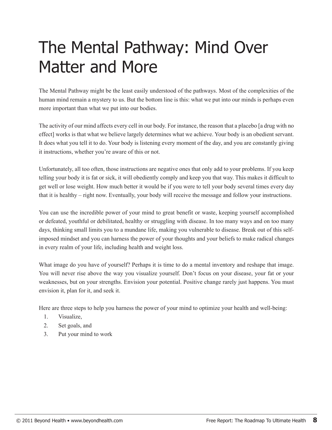# The Mental Pathway: Mind Over Matter and More

The Mental Pathway might be the least easily understood of the pathways. Most of the complexities of the human mind remain a mystery to us. But the bottom line is this: what we put into our minds is perhaps even more important than what we put into our bodies.

The activity of our mind affects every cell in our body. For instance, the reason that a placebo [a drug with no effect] works is that what we believe largely determines what we achieve. Your body is an obedient servant. It does what you tell it to do. Your body is listening every moment of the day, and you are constantly giving it instructions, whether you're aware of this or not.

Unfortunately, all too often, those instructions are negative ones that only add to your problems. If you keep telling your body it is fat or sick, it will obediently comply and keep you that way. This makes it difficult to get well or lose weight. How much better it would be if you were to tell your body several times every day that it is healthy – right now. Eventually, your body will receive the message and follow your instructions.

You can use the incredible power of your mind to great benefit or waste, keeping yourself accomplished or defeated, youthful or debilitated, healthy or struggling with disease. In too many ways and on too many days, thinking small limits you to a mundane life, making you vulnerable to disease. Break out of this selfimposed mindset and you can harness the power of your thoughts and your beliefs to make radical changes in every realm of your life, including health and weight loss.

What image do you have of yourself? Perhaps it is time to do a mental inventory and reshape that image. You will never rise above the way you visualize yourself. Don't focus on your disease, your fat or your weaknesses, but on your strengths. Envision your potential. Positive change rarely just happens. You must envision it, plan for it, and seek it.

Here are three steps to help you harness the power of your mind to optimize your health and well-being:

- 1. Visualize,
- 2. Set goals, and
- 3. Put your mind to work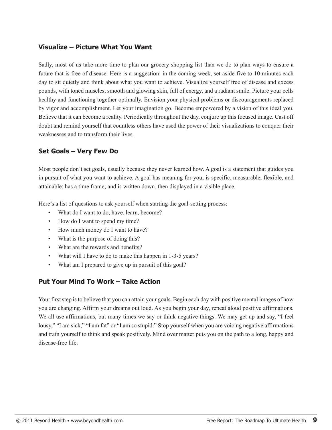#### **Visualize – Picture What You Want**

Sadly, most of us take more time to plan our grocery shopping list than we do to plan ways to ensure a future that is free of disease. Here is a suggestion: in the coming week, set aside five to 10 minutes each day to sit quietly and think about what you want to achieve. Visualize yourself free of disease and excess pounds, with toned muscles, smooth and glowing skin, full of energy, and a radiant smile. Picture your cells healthy and functioning together optimally. Envision your physical problems or discouragements replaced by vigor and accomplishment. Let your imagination go. Become empowered by a vision of this ideal you. Believe that it can become a reality. Periodically throughout the day, conjure up this focused image. Cast off doubt and remind yourself that countless others have used the power of their visualizations to conquer their weaknesses and to transform their lives.

#### **Set Goals – Very Few Do**

Most people don't set goals, usually because they never learned how. A goal is a statement that guides you in pursuit of what you want to achieve. A goal has meaning for you; is specific, measurable, flexible, and attainable; has a time frame; and is written down, then displayed in a visible place.

Here's a list of questions to ask yourself when starting the goal-setting process:

- What do I want to do, have, learn, become?
- How do I want to spend my time?
- How much money do I want to have?
- What is the purpose of doing this?
- What are the rewards and benefits?
- What will I have to do to make this happen in 1-3-5 years?
- What am I prepared to give up in pursuit of this goal?

#### **Put Your Mind To Work – Take Action**

Your first step is to believe that you can attain your goals. Begin each day with positive mental images of how you are changing. Affirm your dreams out loud. As you begin your day, repeat aloud positive affirmations. We all use affirmations, but many times we say or think negative things. We may get up and say, "I feel lousy," "I am sick," "I am fat" or "I am so stupid." Stop yourself when you are voicing negative affirmations and train yourself to think and speak positively. Mind over matter puts you on the path to a long, happy and disease-free life.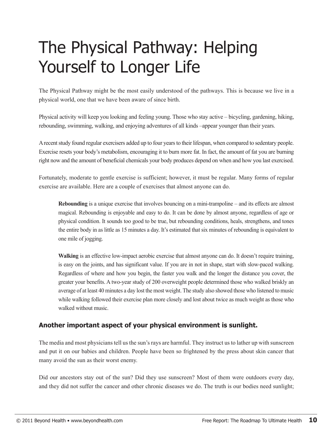# The Physical Pathway: Helping Yourself to Longer Life

The Physical Pathway might be the most easily understood of the pathways. This is because we live in a physical world, one that we have been aware of since birth.

Physical activity will keep you looking and feeling young. Those who stay active – bicycling, gardening, hiking, rebounding, swimming, walking, and enjoying adventures of all kinds –appear younger than their years.

A recent study found regular exercisers added up to four years to their lifespan, when compared to sedentary people. Exercise resets your body's metabolism, encouraging it to burn more fat. In fact, the amount of fat you are burning right now and the amount of beneficial chemicals your body produces depend on when and how you last exercised.

Fortunately, moderate to gentle exercise is sufficient; however, it must be regular. Many forms of regular exercise are available. Here are a couple of exercises that almost anyone can do.

**Rebounding** is a unique exercise that involves bouncing on a mini-trampoline – and its effects are almost magical. Rebounding is enjoyable and easy to do. It can be done by almost anyone, regardless of age or physical condition. It sounds too good to be true, but rebounding conditions, heals, strengthens, and tones the entire body in as little as 15 minutes a day. It's estimated that six minutes of rebounding is equivalent to one mile of jogging.

**Walking** is an effective low-impact aerobic exercise that almost anyone can do. It doesn't require training, is easy on the joints, and has significant value. If you are in not in shape, start with slow-paced walking. Regardless of where and how you begin, the faster you walk and the longer the distance you cover, the greater your benefits. A two-year study of 200 overweight people determined those who walked briskly an average of at least 40 minutes a day lost the most weight. The study also showed those who listened to music while walking followed their exercise plan more closely and lost about twice as much weight as those who walked without music.

### **Another important aspect of your physical environment is sunlight.**

The media and most physicians tell us the sun's rays are harmful. They instruct us to lather up with sunscreen and put it on our babies and children. People have been so frightened by the press about skin cancer that many avoid the sun as their worst enemy.

Did our ancestors stay out of the sun? Did they use sunscreen? Most of them were outdoors every day, and they did not suffer the cancer and other chronic diseases we do. The truth is our bodies need sunlight;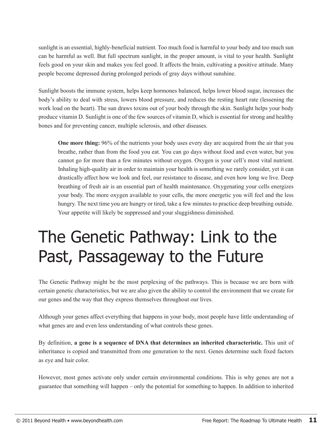sunlight is an essential, highly-beneficial nutrient. Too much food is harmful to your body and too much sun can be harmful as well. But full spectrum sunlight, in the proper amount, is vital to your health. Sunlight feels good on your skin and makes you feel good. It affects the brain, cultivating a positive attitude. Many people become depressed during prolonged periods of gray days without sunshine.

Sunlight boosts the immune system, helps keep hormones balanced, helps lower blood sugar, increases the body's ability to deal with stress, lowers blood pressure, and reduces the resting heart rate (lessening the work load on the heart). The sun draws toxins out of your body through the skin. Sunlight helps your body produce vitamin D. Sunlight is one of the few sources of vitamin D, which is essential for strong and healthy bones and for preventing cancer, multiple sclerosis, and other diseases.

**One more thing:** 96% of the nutrients your body uses every day are acquired from the air that you breathe, rather than from the food you eat. You can go days without food and even water, but you cannot go for more than a few minutes without oxygen. Oxygen is your cell's most vital nutrient. Inhaling high-quality air in order to maintain your health is something we rarely consider, yet it can drastically affect how we look and feel, our resistance to disease, and even how long we live. Deep breathing of fresh air is an essential part of health maintenance. Oxygenating your cells energizes your body. The more oxygen available to your cells, the more energetic you will feel and the less hungry. The next time you are hungry or tired, take a few minutes to practice deep breathing outside. Your appetite will likely be suppressed and your sluggishness diminished.

# The Genetic Pathway: Link to the Past, Passageway to the Future

The Genetic Pathway might be the most perplexing of the pathways. This is because we are born with certain genetic characteristics, but we are also given the ability to control the environment that we create for our genes and the way that they express themselves throughout our lives.

Although your genes affect everything that happens in your body, most people have little understanding of what genes are and even less understanding of what controls these genes.

By definition, **a gene is a sequence of DNA that determines an inherited characteristic.** This unit of inheritance is copied and transmitted from one generation to the next. Genes determine such fixed factors as eye and hair color.

However, most genes activate only under certain environmental conditions. This is why genes are not a guarantee that something will happen – only the potential for something to happen. In addition to inherited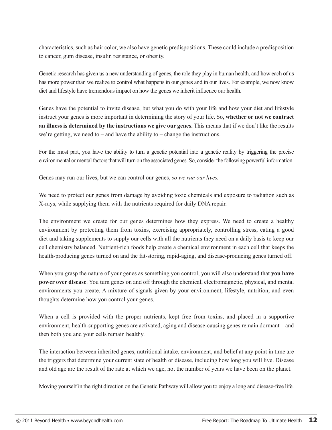characteristics, such as hair color, we also have genetic predispositions. These could include a predisposition to cancer, gum disease, insulin resistance, or obesity.

Genetic research has given us a new understanding of genes, the role they play in human health, and how each of us has more power than we realize to control what happens in our genes and in our lives. For example, we now know diet and lifestyle have tremendous impact on how the genes we inherit influence our health.

Genes have the potential to invite disease, but what you do with your life and how your diet and lifestyle instruct your genes is more important in determining the story of your life. So, **whether or not we contract an illness is determined by the instructions we give our genes.** This means that if we don't like the results we're getting, we need to – and have the ability to – change the instructions.

For the most part, you have the ability to turn a genetic potential into a genetic reality by triggering the precise environmental or mental factors that will turn on the associated genes. So, consider the following powerful information:

Genes may run our lives, but we can control our genes, *so we run our lives.*

We need to protect our genes from damage by avoiding toxic chemicals and exposure to radiation such as X-rays, while supplying them with the nutrients required for daily DNA repair.

The environment we create for our genes determines how they express. We need to create a healthy environment by protecting them from toxins, exercising appropriately, controlling stress, eating a good diet and taking supplements to supply our cells with all the nutrients they need on a daily basis to keep our cell chemistry balanced. Nutrient-rich foods help create a chemical environment in each cell that keeps the health-producing genes turned on and the fat-storing, rapid-aging, and disease-producing genes turned off.

When you grasp the nature of your genes as something you control, you will also understand that **you have power over disease**. You turn genes on and off through the chemical, electromagnetic, physical, and mental environments you create. A mixture of signals given by your environment, lifestyle, nutrition, and even thoughts determine how you control your genes.

When a cell is provided with the proper nutrients, kept free from toxins, and placed in a supportive environment, health-supporting genes are activated, aging and disease-causing genes remain dormant – and then both you and your cells remain healthy.

The interaction between inherited genes, nutritional intake, environment, and belief at any point in time are the triggers that determine your current state of health or disease, including how long you will live. Disease and old age are the result of the rate at which we age, not the number of years we have been on the planet.

Moving yourself in the right direction on the Genetic Pathway will allow you to enjoy a long and disease-free life.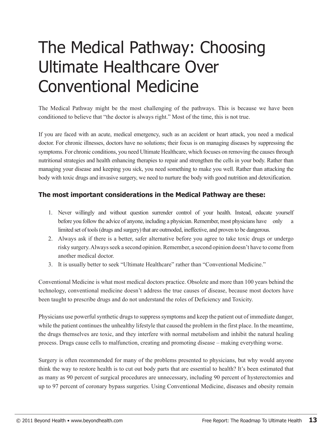## The Medical Pathway: Choosing Ultimate Healthcare Over Conventional Medicine

The Medical Pathway might be the most challenging of the pathways. This is because we have been conditioned to believe that "the doctor is always right." Most of the time, this is not true.

If you are faced with an acute, medical emergency, such as an accident or heart attack, you need a medical doctor. For chronic illnesses, doctors have no solutions; their focus is on managing diseases by suppressing the symptoms. For chronic conditions, you need Ultimate Healthcare, which focuses on removing the causes through nutritional strategies and health enhancing therapies to repair and strengthen the cells in your body. Rather than managing your disease and keeping you sick, you need something to make you well. Rather than attacking the body with toxic drugs and invasive surgery, we need to nurture the body with good nutrition and detoxification.

### **The most important considerations in the Medical Pathway are these:**

- 1. Never willingly and without question surrender control of your health. Instead, educate yourself before you follow the advice of anyone, including a physician. Remember, most physicians have only a limited set of tools (drugs and surgery) that are outmoded, ineffective, and proven to be dangerous.
- 2. Always ask if there is a better, safer alternative before you agree to take toxic drugs or undergo risky surgery. Always seek a second opinion. Remember, a second opinion doesn't have to come from another medical doctor.
- 3. It is usually better to seek "Ultimate Healthcare" rather than "Conventional Medicine."

Conventional Medicine is what most medical doctors practice. Obsolete and more than 100 years behind the technology, conventional medicine doesn't address the true causes of disease, because most doctors have been taught to prescribe drugs and do not understand the roles of Deficiency and Toxicity.

Physicians use powerful synthetic drugs to suppress symptoms and keep the patient out of immediate danger, while the patient continues the unhealthy lifestyle that caused the problem in the first place. In the meantime, the drugs themselves are toxic, and they interfere with normal metabolism and inhibit the natural healing process. Drugs cause cells to malfunction, creating and promoting disease – making everything worse.

Surgery is often recommended for many of the problems presented to physicians, but why would anyone think the way to restore health is to cut out body parts that are essential to health? It's been estimated that as many as 90 percent of surgical procedures are unnecessary, including 90 percent of hysterectomies and up to 97 percent of coronary bypass surgeries. Using Conventional Medicine, diseases and obesity remain